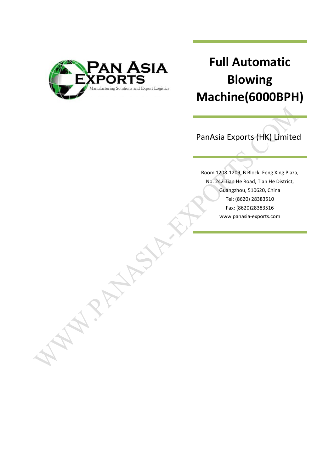

# **Full Automatic Blowing Machine(6000BPH)**

PanAsia Exports (HK) Limited

Room 1208-1209, B Block, Feng Xing Plaza, No. 242 Tian He Road, Tian He District, Guangzhou, 510620, China Tel: (8620) 28383510 Fax: (8620)28383516 www.panasia-exports.com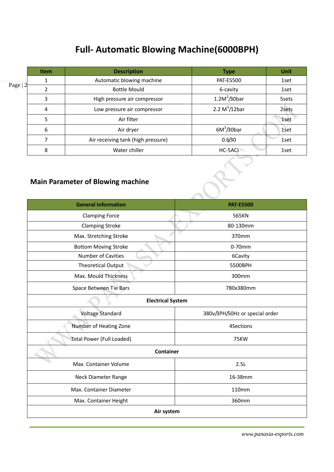## **Full- Automatic Blowing Machine(6000BPH)**

|                                          | <b>Item</b> | <b>Description</b>                 | <b>Type</b>              | <b>Unit</b> |
|------------------------------------------|-------------|------------------------------------|--------------------------|-------------|
|                                          | 1           | Automatic blowing machine          | <b>PAT-E5500</b>         | 1set        |
| Page $ 2$                                | 2           | <b>Bottle Mould</b>                | 6-cavity                 | 1set        |
|                                          | 3           | High pressure air compressor       | 1.2M <sup>3</sup> /30bar | 5sets       |
|                                          | 4           | Low pressure air compressor        | 2.2 $M^3/12$ bar         | 2sets       |
|                                          | 5           | Air filter                         |                          | 1set        |
|                                          | 6           | Air dryer                          | $6M^3/30bar$             | 1set        |
|                                          | 7           | Air receiving tank (high pressure) | 0.6/30                   | 1set        |
|                                          | 8           | Water chiller                      | HC-5ACI                  | 1set        |
| <b>Main Parameter of Blowing machine</b> |             |                                    |                          |             |

### **Main Parameter of Blowing machine**

| <b>General Information</b>  | <b>PAT-E5500</b>               |  |  |  |
|-----------------------------|--------------------------------|--|--|--|
| <b>Clamping Force</b>       | 565KN                          |  |  |  |
| <b>Clamping Stroke</b>      | 80-130mm                       |  |  |  |
| Max. Stretching Stroke      | 370mm                          |  |  |  |
| <b>Bottom Moving Stroke</b> | $0-70$ mm                      |  |  |  |
| <b>Number of Cavities</b>   | 6Cavity                        |  |  |  |
| <b>Theoretical Output</b>   | 5500BPH                        |  |  |  |
| Max. Mould Thickness        | 300mm                          |  |  |  |
| Space Between Tie Bars      | 780x380mm                      |  |  |  |
| <b>Electrical System</b>    |                                |  |  |  |
| Voltage Standard            | 380v/3PH/50Hz or special order |  |  |  |
| Number of Heating Zone      | 4Sections                      |  |  |  |
| Total Power (Full Loaded)   | <b>75KW</b>                    |  |  |  |
| Container                   |                                |  |  |  |
| Max. Container Volume       | 2.5L                           |  |  |  |
| Neck Diameter Range         | 16-38mm                        |  |  |  |
| Max. Container Diameter     | 110mm                          |  |  |  |
| Max. Container Height       | 360mm                          |  |  |  |
| Air system                  |                                |  |  |  |

*www.panasia-exports.com*